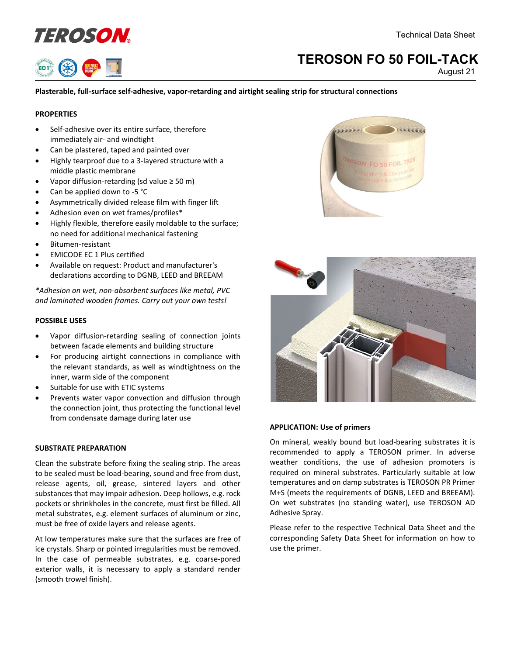



# **TEROSON FO 50 FOIL-TACK**

August 21

# **Plasterable, full-surface self-adhesive, vapor-retarding and airtight sealing strip for structural connections**

# **PROPERTIES**

- Self-adhesive over its entire surface, therefore immediately air- and windtight
- Can be plastered, taped and painted over
- Highly tearproof due to a 3-layered structure with a middle plastic membrane
- Vapor diffusion-retarding (sd value ≥ 50 m)
- Can be applied down to -5 °C
- Asymmetrically divided release film with finger lift
- Adhesion even on wet frames/profiles\*
- Highly flexible, therefore easily moldable to the surface; no need for additional mechanical fastening
- Bitumen-resistant
- EMICODE EC 1 Plus certified
- Available on request: Product and manufacturer's declarations according to DGNB, LEED and BREEAM

*\*Adhesion on wet, non-absorbent surfaces like metal, PVC and laminated wooden frames. Carry out your own tests!*

### **POSSIBLE USES**

- Vapor diffusion-retarding sealing of connection joints between facade elements and building structure
- For producing airtight connections in compliance with the relevant standards, as well as windtightness on the inner, warm side of the component
- Suitable for use with ETIC systems
- Prevents water vapor convection and diffusion through the connection joint, thus protecting the functional level from condensate damage during later use

### **SUBSTRATE PREPARATION**

Clean the substrate before fixing the sealing strip. The areas to be sealed must be load-bearing, sound and free from dust, release agents, oil, grease, sintered layers and other substances that may impair adhesion. Deep hollows, e.g. rock pockets or shrinkholes in the concrete, must first be filled. All metal substrates, e.g. element surfaces of aluminum or zinc, must be free of oxide layers and release agents.

At low temperatures make sure that the surfaces are free of ice crystals. Sharp or pointed irregularities must be removed. In the case of permeable substrates, e.g. coarse-pored exterior walls, it is necessary to apply a standard render (smooth trowel finish).





## **APPLICATION: Use of primers**

On mineral, weakly bound but load-bearing substrates it is recommended to apply a TEROSON primer. In adverse weather conditions, the use of adhesion promoters is required on mineral substrates. Particularly suitable at low temperatures and on damp substrates is TEROSON PR Primer M+S (meets the requirements of DGNB, LEED and BREEAM). On wet substrates (no standing water), use TEROSON AD Adhesive Spray.

Please refer to the respective Technical Data Sheet and the corresponding Safety Data Sheet for information on how to use the primer.